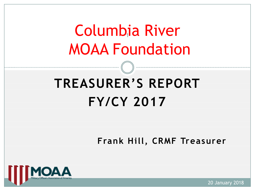# Columbia River 1 MOAA Foundation

## **TREASURER'S REPORT FY/CY 2017**

**Frank Hill, CRMF Treasurer**



20 January 2018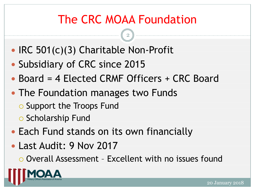## The CRC MOAA Foundation

2

- IRC 501(c)(3) Charitable Non-Profit
- Subsidiary of CRC since 2015
- Board = 4 Elected CRMF Officers + CRC Board
- The Foundation manages two Funds
	- **O** Support the Troops Fund
	- o Scholarship Fund
- Each Fund stands on its own financially
- Last Audit: 9 Nov 2017

Overall Assessment – Excellent with no issues found

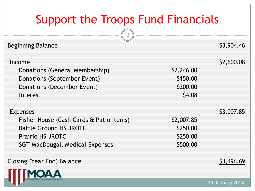### Support the Troops Fund Financials

 $\sqrt{3}$ 

| <b>Beginning Balance</b>                                                                                                                                         |                                                | \$3,904.46   |
|------------------------------------------------------------------------------------------------------------------------------------------------------------------|------------------------------------------------|--------------|
| Income<br>Donations (General Membership)<br>Donations (September Event)<br>Donations (December Event)<br>Interest                                                | \$2,246.00<br>\$150.00<br>\$200.00<br>\$4.08   | \$2,600.08   |
| <b>Expenses</b><br>Fisher House (Cash Cards & Patio Items)<br><b>Battle Ground HS JROTC</b><br><b>Prairie HS JROTC</b><br><b>SGT MacDougall Medical Expenses</b> | \$2,007.85<br>\$250.00<br>\$250.00<br>\$500.00 | $-53,007.85$ |
| Closing (Year End) Balance                                                                                                                                       |                                                | S3,496.69    |
|                                                                                                                                                                  |                                                |              |

20 January 2018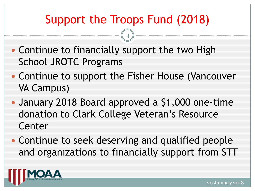## Support the Troops Fund (2018)

- Continue to financially support the two High School JROTC Programs
- Continue to support the Fisher House (Vancouver VA Campus)
- January 2018 Board approved a \$1,000 one-time donation to Clark College Veteran's Resource Center
- Continue to seek deserving and qualified people and organizations to financially support from STT

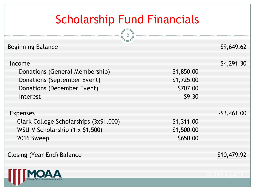## Scholarship Fund Financials

| <b>Beginning Balance</b>                                                                                          |                                                | \$9,649.62   |
|-------------------------------------------------------------------------------------------------------------------|------------------------------------------------|--------------|
| Income<br>Donations (General Membership)<br>Donations (September Event)<br>Donations (December Event)<br>Interest | \$1,850.00<br>\$1,725.00<br>\$707.00<br>\$9.30 | \$4,291.30   |
| <b>Expenses</b>                                                                                                   |                                                | $-53,461.00$ |
| Clark College Scholarships (3x\$1,000)                                                                            | \$1,311.00                                     |              |
| WSU-V Scholarship (1 x \$1,500)                                                                                   | \$1,500.00                                     |              |
| 2016 Sweep                                                                                                        | \$650.00                                       |              |
| Closing (Year End) Balance                                                                                        |                                                |              |
|                                                                                                                   |                                                |              |

y Officers Assoc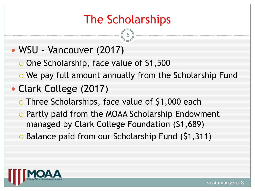### The Scholarships

6

#### WSU – Vancouver (2017)

- One Scholarship, face value of \$1,500
- o We pay full amount annually from the Scholarship Fund

#### Clark College (2017)

- o Three Scholarships, face value of \$1,000 each
- o Partly paid from the MOAA Scholarship Endowment managed by Clark College Foundation (\$1,689)
- o Balance paid from our Scholarship Fund (\$1,311)

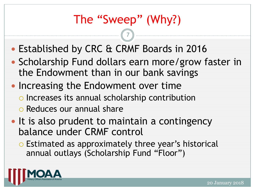## The "Sweep" (Why?)

- Established by CRC & CRMF Boards in 2016
- Scholarship Fund dollars earn more/grow faster in the Endowment than in our bank savings
- Increasing the Endowment over time
	- o Increases its annual scholarship contribution
	- o Reduces our annual share
- It is also prudent to maintain a contingency balance under CRMF control
	- o Estimated as approximately three year's historical annual outlays (Scholarship Fund "Floor")

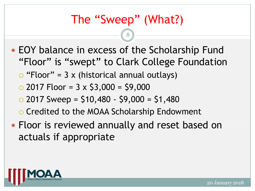### The "Sweep" (What?)

- EOY balance in excess of the Scholarship Fund "Floor" is "swept" to Clark College Foundation
	- $\circ$  "Floor" = 3 x (historical annual outlays)
	- $\degree$  2017 Floor = 3 x \$3,000 = \$9,000
	- $\circ$  2017 Sweep = \$10,480 \$9,000 = \$1,480
	- o Credited to the MOAA Scholarship Endowment
- Floor is reviewed annually and reset based on actuals if appropriate

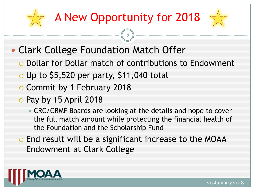## A New Opportunity for 2018



- Clark College Foundation Match Offer
	- Dollar for Dollar match of contributions to Endowment
	- $\circ$  Up to \$5,520 per party, \$11,040 total
	- Commit by 1 February 2018
	- o Pay by 15 April 2018
		- CRC/CRMF Boards are looking at the details and hope to cover the full match amount while protecting the financial health of the Foundation and the Scholarship Fund
	- End result will be a significant increase to the MOAA Endowment at Clark College

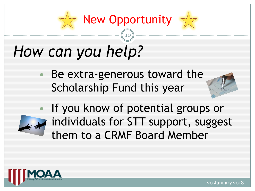## New Opportunity

10

# *How can you help?*

Be extra-generous toward the Scholarship Fund this year